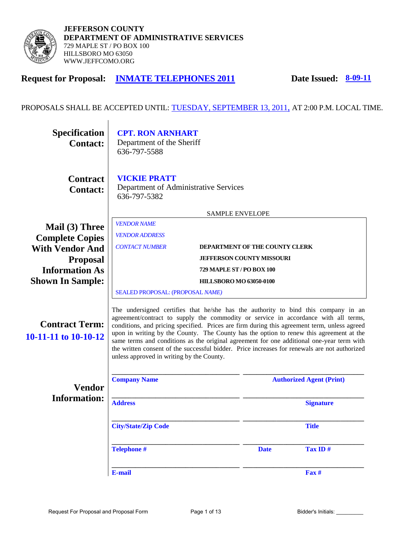

## **Request for Proposal: INMATE TELEPHONES 2011 Date Issued: 8-09-11**

## PROPOSALS SHALL BE ACCEPTED UNTIL: TUESDAY, SEPTEMBER 13, 2011, AT 2:00 P.M. LOCAL TIME.

| <b>Specification</b><br><b>Contact:</b>       | <b>CPT. RON ARNHART</b><br>Department of the Sheriff<br>636-797-5588         |                                                                                                                                                                                                                                                                                                                                                                                                                                                                                                                                                                                                                 |                                  |                                 |  |  |  |
|-----------------------------------------------|------------------------------------------------------------------------------|-----------------------------------------------------------------------------------------------------------------------------------------------------------------------------------------------------------------------------------------------------------------------------------------------------------------------------------------------------------------------------------------------------------------------------------------------------------------------------------------------------------------------------------------------------------------------------------------------------------------|----------------------------------|---------------------------------|--|--|--|
| <b>Contract</b><br><b>Contact:</b>            | <b>VICKIE PRATT</b><br>Department of Administrative Services<br>636-797-5382 |                                                                                                                                                                                                                                                                                                                                                                                                                                                                                                                                                                                                                 |                                  |                                 |  |  |  |
|                                               | <b>SAMPLE ENVELOPE</b>                                                       |                                                                                                                                                                                                                                                                                                                                                                                                                                                                                                                                                                                                                 |                                  |                                 |  |  |  |
| Mail (3) Three<br><b>Complete Copies</b>      | <b>VENDOR NAME</b><br><b>VENDOR ADDRESS</b>                                  |                                                                                                                                                                                                                                                                                                                                                                                                                                                                                                                                                                                                                 |                                  |                                 |  |  |  |
| <b>With Vendor And</b>                        | <b>CONTACT NUMBER</b>                                                        |                                                                                                                                                                                                                                                                                                                                                                                                                                                                                                                                                                                                                 | DEPARTMENT OF THE COUNTY CLERK   |                                 |  |  |  |
| <b>Proposal</b>                               |                                                                              |                                                                                                                                                                                                                                                                                                                                                                                                                                                                                                                                                                                                                 | <b>JEFFERSON COUNTY MISSOURI</b> |                                 |  |  |  |
| <b>Information As</b>                         | 729 MAPLE ST / PO BOX 100                                                    |                                                                                                                                                                                                                                                                                                                                                                                                                                                                                                                                                                                                                 |                                  |                                 |  |  |  |
| <b>Shown In Sample:</b>                       |                                                                              | <b>HILLSBORO MO 63050-0100</b>                                                                                                                                                                                                                                                                                                                                                                                                                                                                                                                                                                                  |                                  |                                 |  |  |  |
|                                               | SEALED PROPOSAL: (PROPOSAL NAME)                                             |                                                                                                                                                                                                                                                                                                                                                                                                                                                                                                                                                                                                                 |                                  |                                 |  |  |  |
| <b>Contract Term:</b><br>10-11-11 to 10-10-12 |                                                                              | The undersigned certifies that he/she has the authority to bind this company in an<br>agreement/contract to supply the commodity or service in accordance with all terms,<br>conditions, and pricing specified. Prices are firm during this agreement term, unless agreed<br>upon in writing by the County. The County has the option to renew this agreement at the<br>same terms and conditions as the original agreement for one additional one-year term with<br>the written consent of the successful bidder. Price increases for renewals are not authorized<br>unless approved in writing by the County. |                                  |                                 |  |  |  |
| <b>Vendor</b>                                 | <b>Company Name</b>                                                          |                                                                                                                                                                                                                                                                                                                                                                                                                                                                                                                                                                                                                 |                                  | <b>Authorized Agent (Print)</b> |  |  |  |
| <b>Information:</b>                           | <b>Address</b>                                                               |                                                                                                                                                                                                                                                                                                                                                                                                                                                                                                                                                                                                                 |                                  | <b>Signature</b>                |  |  |  |
|                                               | <b>City/State/Zip Code</b>                                                   |                                                                                                                                                                                                                                                                                                                                                                                                                                                                                                                                                                                                                 |                                  | <b>Title</b>                    |  |  |  |
|                                               | <b>Telephone #</b>                                                           |                                                                                                                                                                                                                                                                                                                                                                                                                                                                                                                                                                                                                 | <b>Date</b>                      | Tax ID#                         |  |  |  |
|                                               | <b>E-mail</b>                                                                |                                                                                                                                                                                                                                                                                                                                                                                                                                                                                                                                                                                                                 |                                  | Fax #                           |  |  |  |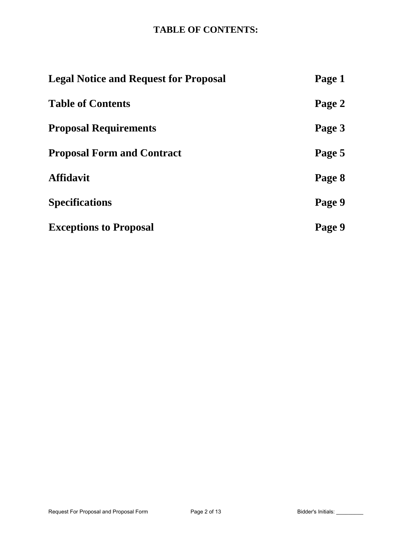## **TABLE OF CONTENTS:**

| <b>Legal Notice and Request for Proposal</b> | Page 1 |
|----------------------------------------------|--------|
| <b>Table of Contents</b>                     | Page 2 |
| <b>Proposal Requirements</b>                 | Page 3 |
| <b>Proposal Form and Contract</b>            | Page 5 |
| <b>Affidavit</b>                             | Page 8 |
| <b>Specifications</b>                        | Page 9 |
| <b>Exceptions to Proposal</b>                | Page 9 |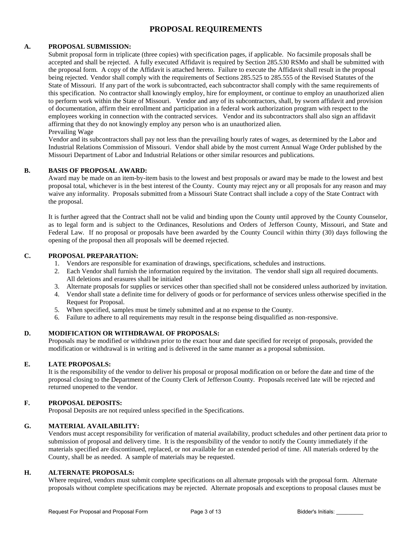### **PROPOSAL REQUIREMENTS**

#### **A. PROPOSAL SUBMISSION:**

Submit proposal form in triplicate (three copies) with specification pages, if applicable. No facsimile proposals shall be accepted and shall be rejected. A fully executed Affidavit is required by Section 285.530 RSMo and shall be submitted with the proposal form. A copy of the Affidavit is attached hereto. Failure to execute the Affidavit shall result in the proposal being rejected. Vendor shall comply with the requirements of Sections 285.525 to 285.555 of the Revised Statutes of the State of Missouri. If any part of the work is subcontracted, each subcontractor shall comply with the same requirements of this specification. No contractor shall knowingly employ, hire for employment, or continue to employ an unauthorized alien to perform work within the State of Missouri. Vendor and any of its subcontractors, shall, by sworn affidavit and provision of documentation, affirm their enrollment and participation in a federal work authorization program with respect to the employees working in connection with the contracted services. Vendor and its subcontractors shall also sign an affidavit affirming that they do not knowingly employ any person who is an unauthorized alien. Prevailing Wage

Vendor and its subcontractors shall pay not less than the prevailing hourly rates of wages, as determined by the Labor and Industrial Relations Commission of Missouri. Vendor shall abide by the most current Annual Wage Order published by the Missouri Department of Labor and Industrial Relations or other similar resources and publications.

#### **B. BASIS OF PROPOSAL AWARD:**

Award may be made on an item-by-item basis to the lowest and best proposals or award may be made to the lowest and best proposal total, whichever is in the best interest of the County. County may reject any or all proposals for any reason and may waive any informality. Proposals submitted from a Missouri State Contract shall include a copy of the State Contract with the proposal.

It is further agreed that the Contract shall not be valid and binding upon the County until approved by the County Counselor, as to legal form and is subject to the Ordinances, Resolutions and Orders of Jefferson County, Missouri, and State and Federal Law. If no proposal or proposals have been awarded by the County Council within thirty (30) days following the opening of the proposal then all proposals will be deemed rejected.

#### **C. PROPOSAL PREPARATION:**

- 1. Vendors are responsible for examination of drawings, specifications, schedules and instructions.
- 2. Each Vendor shall furnish the information required by the invitation. The vendor shall sign all required documents. All deletions and erasures shall be initialed
- 3. Alternate proposals for supplies or services other than specified shall not be considered unless authorized by invitation.
- 4. Vendor shall state a definite time for delivery of goods or for performance of services unless otherwise specified in the Request for Proposal.
- 5. When specified, samples must be timely submitted and at no expense to the County.
- 6. Failure to adhere to all requirements may result in the response being disqualified as non-responsive.

#### **D. MODIFICATION OR WITHDRAWAL OF PROPOSALS:**

Proposals may be modified or withdrawn prior to the exact hour and date specified for receipt of proposals, provided the modification or withdrawal is in writing and is delivered in the same manner as a proposal submission.

#### **E. LATE PROPOSALS:**

It is the responsibility of the vendor to deliver his proposal or proposal modification on or before the date and time of the proposal closing to the Department of the County Clerk of Jefferson County. Proposals received late will be rejected and returned unopened to the vendor.

#### **F. PROPOSAL DEPOSITS:**

Proposal Deposits are not required unless specified in the Specifications.

#### **G. MATERIAL AVAILABILITY:**

Vendors must accept responsibility for verification of material availability, product schedules and other pertinent data prior to submission of proposal and delivery time. It is the responsibility of the vendor to notify the County immediately if the materials specified are discontinued, replaced, or not available for an extended period of time. All materials ordered by the County, shall be as needed. A sample of materials may be requested.

#### **H. ALTERNATE PROPOSALS:**

Where required, vendors must submit complete specifications on all alternate proposals with the proposal form. Alternate proposals without complete specifications may be rejected. Alternate proposals and exceptions to proposal clauses must be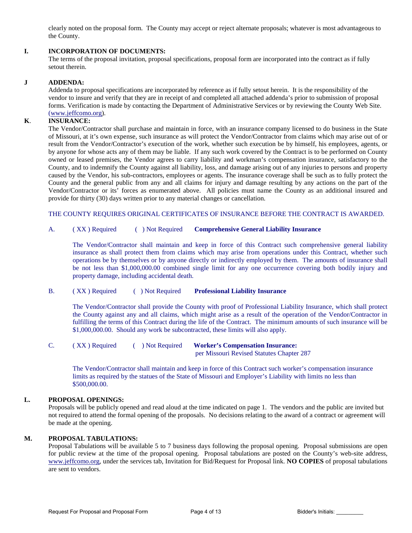clearly noted on the proposal form. The County may accept or reject alternate proposals; whatever is most advantageous to the County.

#### **I. INCORPORATION OF DOCUMENTS:**

The terms of the proposal invitation, proposal specifications, proposal form are incorporated into the contract as if fully setout therein.

#### **J ADDENDA:**

Addenda to proposal specifications are incorporated by reference as if fully setout herein. It is the responsibility of the vendor to insure and verify that they are in receipt of and completed all attached addenda's prior to submission of proposal forms. Verification is made by contacting the Department of Administrative Services or by reviewing the County Web Site. [\(www.jeffcomo.org\)](http://www.jeffcomo.org/).

#### **K**. **INSURANCE:**

The Vendor/Contractor shall purchase and maintain in force, with an insurance company licensed to do business in the State of Missouri, at it's own expense, such insurance as will protect the Vendor/Contractor from claims which may arise out of or result from the Vendor/Contractor's execution of the work, whether such execution be by himself, his employees, agents, or by anyone for whose acts any of them may be liable. If any such work covered by the Contract is to be performed on County owned or leased premises, the Vendor agrees to carry liability and workman's compensation insurance, satisfactory to the County, and to indemnify the County against all liability, loss, and damage arising out of any injuries to persons and property caused by the Vendor, his sub-contractors, employees or agents. The insurance coverage shall be such as to fully protect the County and the general public from any and all claims for injury and damage resulting by any actions on the part of the Vendor/Contractor or its' forces as enumerated above. All policies must name the County as an additional insured and provide for thirty (30) days written prior to any material changes or cancellation.

THE COUNTY REQUIRES ORIGINAL CERTIFICATES OF INSURANCE BEFORE THE CONTRACT IS AWARDED.

#### A. ( XX ) Required ( ) Not Required **Comprehensive General Liability Insurance**

The Vendor/Contractor shall maintain and keep in force of this Contract such comprehensive general liability insurance as shall protect them from claims which may arise from operations under this Contract, whether such operations be by themselves or by anyone directly or indirectly employed by them. The amounts of insurance shall be not less than \$1,000,000.00 combined single limit for any one occurrence covering both bodily injury and property damage, including accidental death.

#### B. ( XX ) Required ( ) Not Required **Professional Liability Insurance**

The Vendor/Contractor shall provide the County with proof of Professional Liability Insurance, which shall protect the County against any and all claims, which might arise as a result of the operation of the Vendor/Contractor in fulfilling the terms of this Contract during the life of the Contract. The minimum amounts of such insurance will be \$1,000,000.00. Should any work be subcontracted, these limits will also apply.

C. ( XX ) Required ( ) Not Required **Worker's Compensation Insurance:**  per Missouri Revised Statutes Chapter 287

 The Vendor/Contractor shall maintain and keep in force of this Contract such worker's compensation insurance limits as required by the statues of the State of Missouri and Employer's Liability with limits no less than \$500,000.00.

#### **L. PROPOSAL OPENINGS:**

Proposals will be publicly opened and read aloud at the time indicated on page 1. The vendors and the public are invited but not required to attend the formal opening of the proposals. No decisions relating to the award of a contract or agreement will be made at the opening.

#### **M. PROPOSAL TABULATIONS:**

Proposal Tabulations will be available 5 to 7 business days following the proposal opening. Proposal submissions are open for public review at the time of the proposal opening. Proposal tabulations are posted on the County's web-site address, [www.jeffcomo.org,](http://www.jeffcomo.org/) under the services tab, Invitation for Bid/Request for Proposal link. **NO COPIES** of proposal tabulations are sent to vendors.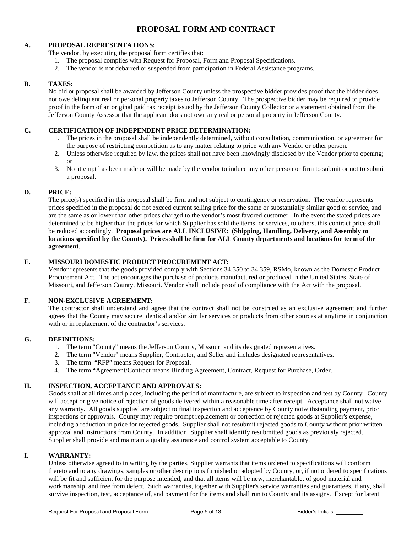## **PROPOSAL FORM AND CONTRACT**

#### **A. PROPOSAL REPRESENTATIONS:**

- The vendor, by executing the proposal form certifies that:
	- 1. The proposal complies with Request for Proposal, Form and Proposal Specifications.
	- 2. The vendor is not debarred or suspended from participation in Federal Assistance programs.

#### **B. TAXES:**

No bid or proposal shall be awarded by Jefferson County unless the prospective bidder provides proof that the bidder does not owe delinquent real or personal property taxes to Jefferson County. The prospective bidder may be required to provide proof in the form of an original paid tax receipt issued by the Jefferson County Collector or a statement obtained from the Jefferson County Assessor that the applicant does not own any real or personal property in Jefferson County.

#### **C. CERTIFICATION OF INDEPENDENT PRICE DETERMINATION:**

- 1. The prices in the proposal shall be independently determined, without consultation, communication, or agreement for the purpose of restricting competition as to any matter relating to price with any Vendor or other person.
- 2. Unless otherwise required by law, the prices shall not have been knowingly disclosed by the Vendor prior to opening; or
- 3. No attempt has been made or will be made by the vendor to induce any other person or firm to submit or not to submit a proposal.

#### **D. PRICE:**

The price(s) specified in this proposal shall be firm and not subject to contingency or reservation. The vendor represents prices specified in the proposal do not exceed current selling price for the same or substantially similar good or service, and are the same as or lower than other prices charged to the vendor's most favored customer. In the event the stated prices are determined to be higher than the prices for which Supplier has sold the items, or services, to others, this contract price shall be reduced accordingly. **Proposal prices are ALL INCLUSIVE: (Shipping, Handling, Delivery, and Assembly to locations specified by the County). Prices shall be firm for ALL County departments and locations for term of the agreement**.

#### **E. MISSOURI DOMESTIC PRODUCT PROCUREMENT ACT:**

Vendor represents that the goods provided comply with Sections 34.350 to 34.359, RSMo, known as the Domestic Product Procurement Act. The act encourages the purchase of products manufactured or produced in the United States, State of Missouri, and Jefferson County, Missouri. Vendor shall include proof of compliance with the Act with the proposal.

#### **F. NON-EXCLUSIVE AGREEMENT:**

The contractor shall understand and agree that the contract shall not be construed as an exclusive agreement and further agrees that the County may secure identical and/or similar services or products from other sources at anytime in conjunction with or in replacement of the contractor's services.

#### **G. DEFINITIONS:**

- 1. The term "County" means the Jefferson County, Missouri and its designated representatives.
- 2. The term "Vendor" means Supplier, Contractor, and Seller and includes designated representatives.
- 3. The term "RFP" means Request for Proposal.
- 4. The term "Agreement/Contract means Binding Agreement, Contract, Request for Purchase, Order.

#### **H. INSPECTION, ACCEPTANCE AND APPROVALS:**

Goods shall at all times and places, including the period of manufacture, are subject to inspection and test by County. County will accept or give notice of rejection of goods delivered within a reasonable time after receipt. Acceptance shall not waive any warranty. All goods supplied are subject to final inspection and acceptance by County notwithstanding payment, prior inspections or approvals. County may require prompt replacement or correction of rejected goods at Supplier's expense, including a reduction in price for rejected goods. Supplier shall not resubmit rejected goods to County without prior written approval and instructions from County. In addition, Supplier shall identify resubmitted goods as previously rejected. Supplier shall provide and maintain a quality assurance and control system acceptable to County.

#### **I. WARRANTY:**

Unless otherwise agreed to in writing by the parties, Supplier warrants that items ordered to specifications will conform thereto and to any drawings, samples or other descriptions furnished or adopted by County, or, if not ordered to specifications will be fit and sufficient for the purpose intended, and that all items will be new, merchantable, of good material and workmanship, and free from defect. Such warranties, together with Supplier's service warranties and guarantees, if any, shall survive inspection, test, acceptance of, and payment for the items and shall run to County and its assigns. Except for latent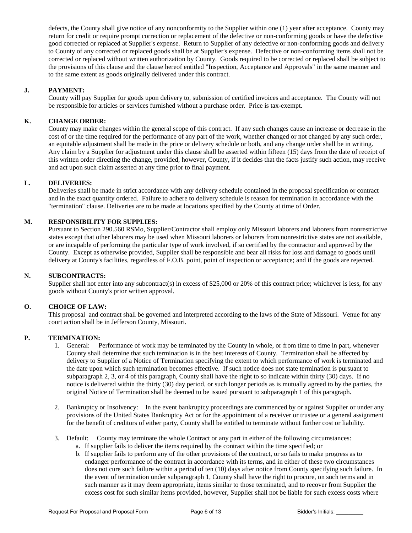defects, the County shall give notice of any nonconformity to the Supplier within one (1) year after acceptance. County may return for credit or require prompt correction or replacement of the defective or non-conforming goods or have the defective good corrected or replaced at Supplier's expense. Return to Supplier of any defective or non-conforming goods and delivery to County of any corrected or replaced goods shall be at Supplier's expense. Defective or non-conforming items shall not be corrected or replaced without written authorization by County. Goods required to be corrected or replaced shall be subject to the provisions of this clause and the clause hereof entitled "Inspection, Acceptance and Approvals" in the same manner and to the same extent as goods originally delivered under this contract.

#### **J. PAYMENT:**

County will pay Supplier for goods upon delivery to, submission of certified invoices and acceptance. The County will not be responsible for articles or services furnished without a purchase order. Price is tax-exempt.

#### **K. CHANGE ORDER:**

County may make changes within the general scope of this contract. If any such changes cause an increase or decrease in the cost of or the time required for the performance of any part of the work, whether changed or not changed by any such order, an equitable adjustment shall be made in the price or delivery schedule or both, and any change order shall be in writing. Any claim by a Supplier for adjustment under this clause shall be asserted within fifteen (15) days from the date of receipt of this written order directing the change, provided, however, County, if it decides that the facts justify such action, may receive and act upon such claim asserted at any time prior to final payment.

#### **L. DELIVERIES:**

Deliveries shall be made in strict accordance with any delivery schedule contained in the proposal specification or contract and in the exact quantity ordered. Failure to adhere to delivery schedule is reason for termination in accordance with the "termination" clause. Deliveries are to be made at locations specified by the County at time of Order.

#### **M. RESPONSIBILITY FOR SUPPLIES:**

Pursuant to Section 290.560 RSMo, Supplier/Contractor shall employ only Missouri laborers and laborers from nonrestrictive states except that other laborers may be used when Missouri laborers or laborers from nonrestrictive states are not available, or are incapable of performing the particular type of work involved, if so certified by the contractor and approved by the County. Except as otherwise provided, Supplier shall be responsible and bear all risks for loss and damage to goods until delivery at County's facilities, regardless of F.O.B. point, point of inspection or acceptance; and if the goods are rejected.

#### **N. SUBCONTRACTS:**

Supplier shall not enter into any subcontract(s) in excess of \$25,000 or 20% of this contract price; whichever is less, for any goods without County's prior written approval.

#### **O. CHOICE OF LAW:**

This proposal and contract shall be governed and interpreted according to the laws of the State of Missouri. Venue for any court action shall be in Jefferson County, Missouri.

#### **P. TERMINATION:**

- 1. General: Performance of work may be terminated by the County in whole, or from time to time in part, whenever County shall determine that such termination is in the best interests of County. Termination shall be affected by delivery to Supplier of a Notice of Termination specifying the extent to which performance of work is terminated and the date upon which such termination becomes effective. If such notice does not state termination is pursuant to subparagraph 2, 3, or 4 of this paragraph, County shall have the right to so indicate within thirty (30) days. If no notice is delivered within the thirty (30) day period, or such longer periods as is mutually agreed to by the parties, the original Notice of Termination shall be deemed to be issued pursuant to subparagraph 1 of this paragraph.
- 2. Bankruptcy or Insolvency: In the event bankruptcy proceedings are commenced by or against Supplier or under any provisions of the United States Bankruptcy Act or for the appointment of a receiver or trustee or a general assignment for the benefit of creditors of either party, County shall be entitled to terminate without further cost or liability.
- 3. Default: County may terminate the whole Contract or any part in either of the following circumstances:
	- a. If supplier fails to deliver the items required by the contract within the time specified; or
	- b. If supplier fails to perform any of the other provisions of the contract, or so fails to make progress as to endanger performance of the contract in accordance with its terms, and in either of these two circumstances does not cure such failure within a period of ten (10) days after notice from County specifying such failure. In the event of termination under subparagraph 1, County shall have the right to procure, on such terms and in such manner as it may deem appropriate, items similar to those terminated, and to recover from Supplier the excess cost for such similar items provided, however, Supplier shall not be liable for such excess costs where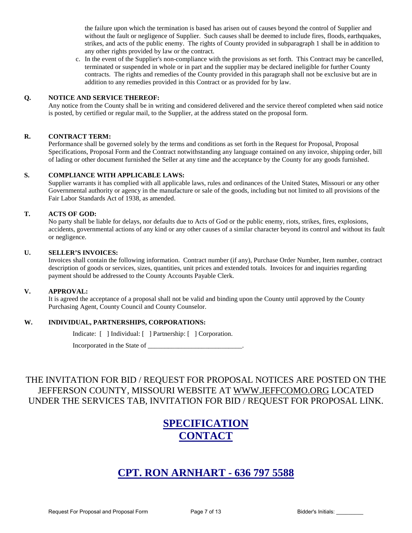the failure upon which the termination is based has arisen out of causes beyond the control of Supplier and without the fault or negligence of Supplier. Such causes shall be deemed to include fires, floods, earthquakes, strikes, and acts of the public enemy. The rights of County provided in subparagraph 1 shall be in addition to any other rights provided by law or the contract.

c. In the event of the Supplier's non-compliance with the provisions as set forth. This Contract may be cancelled, terminated or suspended in whole or in part and the supplier may be declared ineligible for further County contracts. The rights and remedies of the County provided in this paragraph shall not be exclusive but are in addition to any remedies provided in this Contract or as provided for by law.

#### **Q. NOTICE AND SERVICE THEREOF:**

Any notice from the County shall be in writing and considered delivered and the service thereof completed when said notice is posted, by certified or regular mail, to the Supplier, at the address stated on the proposal form.

#### **R. CONTRACT TERM:**

Performance shall be governed solely by the terms and conditions as set forth in the Request for Proposal, Proposal Specifications, Proposal Form and the Contract notwithstanding any language contained on any invoice, shipping order, bill of lading or other document furnished the Seller at any time and the acceptance by the County for any goods furnished.

#### **S. COMPLIANCE WITH APPLICABLE LAWS:**

Supplier warrants it has complied with all applicable laws, rules and ordinances of the United States, Missouri or any other Governmental authority or agency in the manufacture or sale of the goods, including but not limited to all provisions of the Fair Labor Standards Act of 1938, as amended.

#### **T. ACTS OF GOD:**

No party shall be liable for delays, nor defaults due to Acts of God or the public enemy, riots, strikes, fires, explosions, accidents, governmental actions of any kind or any other causes of a similar character beyond its control and without its fault or negligence.

#### **U. SELLER'S INVOICES:**

Invoices shall contain the following information. Contract number (if any), Purchase Order Number, Item number, contract description of goods or services, sizes, quantities, unit prices and extended totals. Invoices for and inquiries regarding payment should be addressed to the County Accounts Payable Clerk.

#### **V. APPROVAL:**

It is agreed the acceptance of a proposal shall not be valid and binding upon the County until approved by the County Purchasing Agent, County Council and County Counselor.

#### **W. INDIVIDUAL, PARTNERSHIPS, CORPORATIONS:**

Indicate: [ ] Individual: [ ] Partnership: [ ] Corporation.

Incorporated in the State of \_\_\_\_\_\_\_\_\_\_\_\_\_\_\_\_\_\_\_\_\_\_\_\_\_\_\_\_.

## THE INVITATION FOR BID / REQUEST FOR PROPOSAL NOTICES ARE POSTED ON THE JEFFERSON COUNTY, MISSOURI WEBSITE AT [WWW.JEFFCOMO.ORG](http://www.jeffcomo.org/) LOCATED UNDER THE SERVICES TAB, INVITATION FOR BID / REQUEST FOR PROPOSAL LINK.

# **SPECIFICATION CONTACT**

# **CPT. RON ARNHART - 636 797 5588**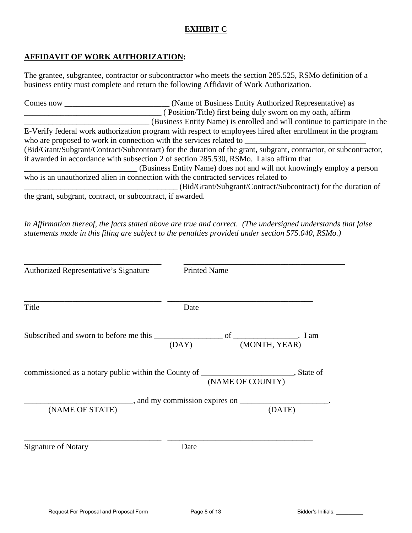## **EXHIBIT C**

## **AFFIDAVIT OF WORK AUTHORIZATION:**

The grantee, subgrantee, contractor or subcontractor who meets the section 285.525, RSMo definition of a business entity must complete and return the following Affidavit of Work Authorization.

Comes now \_\_\_\_\_\_\_\_\_\_\_\_\_\_\_\_\_\_\_\_\_\_\_\_\_\_ (Name of Business Entity Authorized Representative) as \_\_\_\_\_\_\_\_\_\_\_\_\_\_\_\_\_\_\_\_\_\_\_\_\_\_\_\_\_\_\_\_\_\_ ( Position/Title) first being duly sworn on my oath, affirm \_\_\_\_\_\_\_\_\_\_\_\_\_\_\_\_\_\_\_\_\_\_\_\_\_\_\_\_\_\_\_ (Business Entity Name) is enrolled and will continue to participate in the E-Verify federal work authorization program with respect to employees hired after enrollment in the program who are proposed to work in connection with the services related to  $\blacksquare$ (Bid/Grant/Subgrant/Contract/Subcontract) for the duration of the grant, subgrant, contractor, or subcontractor, if awarded in accordance with subsection 2 of section 285.530, RSMo. I also affirm that \_\_\_\_\_\_\_\_\_\_\_\_\_\_\_\_\_\_\_\_\_\_\_\_\_\_\_\_ (Business Entity Name) does not and will not knowingly employ a person who is an unauthorized alien in connection with the contracted services related to \_\_\_\_\_\_\_\_\_\_\_\_\_\_\_\_\_\_\_\_\_\_\_\_\_\_\_\_\_\_\_\_\_\_\_\_\_\_ (Bid/Grant/Subgrant/Contract/Subcontract) for the duration of the grant, subgrant, contract, or subcontract, if awarded.

*In Affirmation thereof, the facts stated above are true and correct. (The undersigned understands that false statements made in this filing are subject to the penalties provided under section 575.040, RSMo.)* 

| Authorized Representative's Signature | <b>Printed Name</b> |        |
|---------------------------------------|---------------------|--------|
| Title                                 | Date                |        |
|                                       | (DAY) (MONTH, YEAR) |        |
|                                       |                     |        |
|                                       |                     |        |
| (NAME OF STATE)                       |                     | (DATE) |
| <b>Signature of Notary</b>            | Date                |        |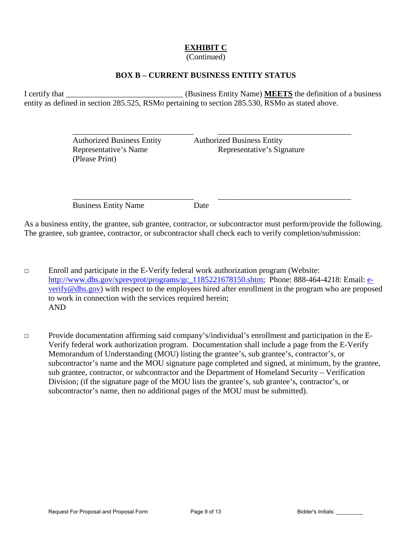# **EXHIBIT C**

## (Continued)

## **BOX B – CURRENT BUSINESS ENTITY STATUS**

I certify that **I** certify that **I** certify that **I** certify that **I** certify that **I** certify that **I** certify that **I** certify that **I** certify that **I** certify that **I** certify that **I** certify that **I** certify that **I** entity as defined in section 285.525, RSMo pertaining to section 285.530, RSMo as stated above.

 $\overline{\phantom{a}}$  ,  $\overline{\phantom{a}}$  ,  $\overline{\phantom{a}}$  ,  $\overline{\phantom{a}}$  ,  $\overline{\phantom{a}}$  ,  $\overline{\phantom{a}}$  ,  $\overline{\phantom{a}}$  ,  $\overline{\phantom{a}}$  ,  $\overline{\phantom{a}}$  ,  $\overline{\phantom{a}}$  ,  $\overline{\phantom{a}}$  ,  $\overline{\phantom{a}}$  ,  $\overline{\phantom{a}}$  ,  $\overline{\phantom{a}}$  ,  $\overline{\phantom{a}}$  ,  $\overline{\phantom{a}}$ 

 $\overline{\phantom{a}}$  ,  $\overline{\phantom{a}}$  ,  $\overline{\phantom{a}}$  ,  $\overline{\phantom{a}}$  ,  $\overline{\phantom{a}}$  ,  $\overline{\phantom{a}}$  ,  $\overline{\phantom{a}}$  ,  $\overline{\phantom{a}}$  ,  $\overline{\phantom{a}}$  ,  $\overline{\phantom{a}}$  ,  $\overline{\phantom{a}}$  ,  $\overline{\phantom{a}}$  ,  $\overline{\phantom{a}}$  ,  $\overline{\phantom{a}}$  ,  $\overline{\phantom{a}}$  ,  $\overline{\phantom{a}}$ 

 Authorized Business Entity Authorized Business Entity (Please Print)

Representative's Name Representative's Signature

Business Entity Name Date

As a business entity, the grantee, sub grantee, contractor, or subcontractor must perform/provide the following. The grantee, sub grantee, contractor, or subcontractor shall check each to verify completion/submission:

□ Enroll and participate in the E-Verify federal work authorization program (Website: [http://www.dhs.gov/xprevprot/programs/gc\\_1185221678150.shtm;](http://www.dhs.gov/xprevprot/programs/gc_1185221678150.shtm) Phone: 888-464-4218: Email: [e](mailto:e-verify@dhs.gov)[verify@dhs.gov\)](mailto:e-verify@dhs.gov) with respect to the employees hired after enrollment in the program who are proposed to work in connection with the services required herein; AND

□ Provide documentation affirming said company's/individual's enrollment and participation in the E-Verify federal work authorization program. Documentation shall include a page from the E-Verify Memorandum of Understanding (MOU) listing the grantee's, sub grantee's, contractor's, or subcontractor's name and the MOU signature page completed and signed, at minimum, by the grantee, sub grantee, contractor, or subcontractor and the Department of Homeland Security – Verification Division; (if the signature page of the MOU lists the grantee's, sub grantee's, contractor's, or subcontractor's name, then no additional pages of the MOU must be submitted).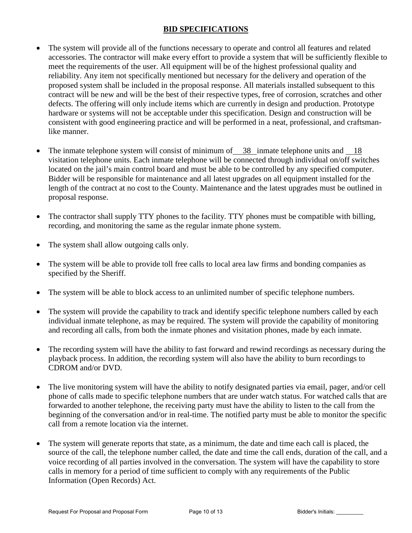## **BID SPECIFICATIONS**

- The system will provide all of the functions necessary to operate and control all features and related accessories. The contractor will make every effort to provide a system that will be sufficiently flexible to meet the requirements of the user. All equipment will be of the highest professional quality and reliability. Any item not specifically mentioned but necessary for the delivery and operation of the proposed system shall be included in the proposal response. All materials installed subsequent to this contract will be new and will be the best of their respective types, free of corrosion, scratches and other defects. The offering will only include items which are currently in design and production. Prototype hardware or systems will not be acceptable under this specification. Design and construction will be consistent with good engineering practice and will be performed in a neat, professional, and craftsmanlike manner.
- The inmate telephone system will consist of minimum of  $\frac{38}{100}$  inmate telephone units and  $\frac{18}{100}$ visitation telephone units. Each inmate telephone will be connected through individual on/off switches located on the jail's main control board and must be able to be controlled by any specified computer. Bidder will be responsible for maintenance and all latest upgrades on all equipment installed for the length of the contract at no cost to the County. Maintenance and the latest upgrades must be outlined in proposal response.
- The contractor shall supply TTY phones to the facility. TTY phones must be compatible with billing, recording, and monitoring the same as the regular inmate phone system.
- The system shall allow outgoing calls only.
- The system will be able to provide toll free calls to local area law firms and bonding companies as specified by the Sheriff.
- The system will be able to block access to an unlimited number of specific telephone numbers.
- The system will provide the capability to track and identify specific telephone numbers called by each individual inmate telephone, as may be required. The system will provide the capability of monitoring and recording all calls, from both the inmate phones and visitation phones, made by each inmate.
- The recording system will have the ability to fast forward and rewind recordings as necessary during the playback process. In addition, the recording system will also have the ability to burn recordings to CDROM and/or DVD.
- The live monitoring system will have the ability to notify designated parties via email, pager, and/or cell phone of calls made to specific telephone numbers that are under watch status. For watched calls that are forwarded to another telephone, the receiving party must have the ability to listen to the call from the beginning of the conversation and/or in real-time. The notified party must be able to monitor the specific call from a remote location via the internet.
- The system will generate reports that state, as a minimum, the date and time each call is placed, the source of the call, the telephone number called, the date and time the call ends, duration of the call, and a voice recording of all parties involved in the conversation. The system will have the capability to store calls in memory for a period of time sufficient to comply with any requirements of the Public Information (Open Records) Act.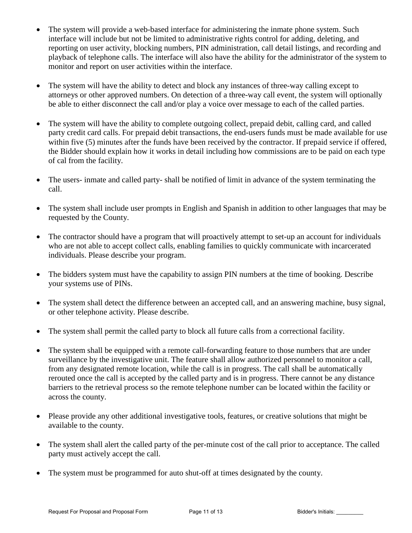- The system will provide a web-based interface for administering the inmate phone system. Such interface will include but not be limited to administrative rights control for adding, deleting, and reporting on user activity, blocking numbers, PIN administration, call detail listings, and recording and playback of telephone calls. The interface will also have the ability for the administrator of the system to monitor and report on user activities within the interface.
- The system will have the ability to detect and block any instances of three-way calling except to attorneys or other approved numbers. On detection of a three-way call event, the system will optionally be able to either disconnect the call and/or play a voice over message to each of the called parties.
- The system will have the ability to complete outgoing collect, prepaid debit, calling card, and called party credit card calls. For prepaid debit transactions, the end-users funds must be made available for use within five (5) minutes after the funds have been received by the contractor. If prepaid service if offered, the Bidder should explain how it works in detail including how commissions are to be paid on each type of cal from the facility.
- The users- inmate and called party- shall be notified of limit in advance of the system terminating the call.
- The system shall include user prompts in English and Spanish in addition to other languages that may be requested by the County.
- The contractor should have a program that will proactively attempt to set-up an account for individuals who are not able to accept collect calls, enabling families to quickly communicate with incarcerated individuals. Please describe your program.
- The bidders system must have the capability to assign PIN numbers at the time of booking. Describe your systems use of PINs.
- The system shall detect the difference between an accepted call, and an answering machine, busy signal, or other telephone activity. Please describe.
- The system shall permit the called party to block all future calls from a correctional facility.
- The system shall be equipped with a remote call-forwarding feature to those numbers that are under surveillance by the investigative unit. The feature shall allow authorized personnel to monitor a call, from any designated remote location, while the call is in progress. The call shall be automatically rerouted once the call is accepted by the called party and is in progress. There cannot be any distance barriers to the retrieval process so the remote telephone number can be located within the facility or across the county.
- Please provide any other additional investigative tools, features, or creative solutions that might be available to the county.
- The system shall alert the called party of the per-minute cost of the call prior to acceptance. The called party must actively accept the call.
- The system must be programmed for auto shut-off at times designated by the county.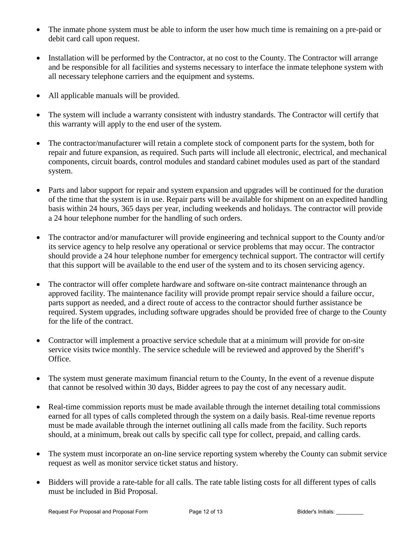- The inmate phone system must be able to inform the user how much time is remaining on a pre-paid or debit card call upon request.
- Installation will be performed by the Contractor, at no cost to the County. The Contractor will arrange and be responsible for all facilities and systems necessary to interface the inmate telephone system with all necessary telephone carriers and the equipment and systems.
- All applicable manuals will be provided.
- The system will include a warranty consistent with industry standards. The Contractor will certify that this warranty will apply to the end user of the system.
- The contractor/manufacturer will retain a complete stock of component parts for the system, both for repair and future expansion, as required. Such parts will include all electronic, electrical, and mechanical components, circuit boards, control modules and standard cabinet modules used as part of the standard system.
- Parts and labor support for repair and system expansion and upgrades will be continued for the duration of the time that the system is in use. Repair parts will be available for shipment on an expedited handling basis within 24 hours, 365 days per year, including weekends and holidays. The contractor will provide a 24 hour telephone number for the handling of such orders.
- The contractor and/or manufacturer will provide engineering and technical support to the County and/or its service agency to help resolve any operational or service problems that may occur. The contractor should provide a 24 hour telephone number for emergency technical support. The contractor will certify that this support will be available to the end user of the system and to its chosen servicing agency.
- The contractor will offer complete hardware and software on-site contract maintenance through an approved facility. The maintenance facility will provide prompt repair service should a failure occur, parts support as needed, and a direct route of access to the contractor should further assistance be required. System upgrades, including software upgrades should be provided free of charge to the County for the life of the contract.
- Contractor will implement a proactive service schedule that at a minimum will provide for on-site service visits twice monthly. The service schedule will be reviewed and approved by the Sheriff's Office.
- The system must generate maximum financial return to the County, In the event of a revenue dispute that cannot be resolved within 30 days, Bidder agrees to pay the cost of any necessary audit.
- Real-time commission reports must be made available through the internet detailing total commissions earned for all types of calls completed through the system on a daily basis. Real-time revenue reports must be made available through the internet outlining all calls made from the facility. Such reports should, at a minimum, break out calls by specific call type for collect, prepaid, and calling cards.
- The system must incorporate an on-line service reporting system whereby the County can submit service request as well as monitor service ticket status and history.
- Bidders will provide a rate-table for all calls. The rate table listing costs for all different types of calls must be included in Bid Proposal.